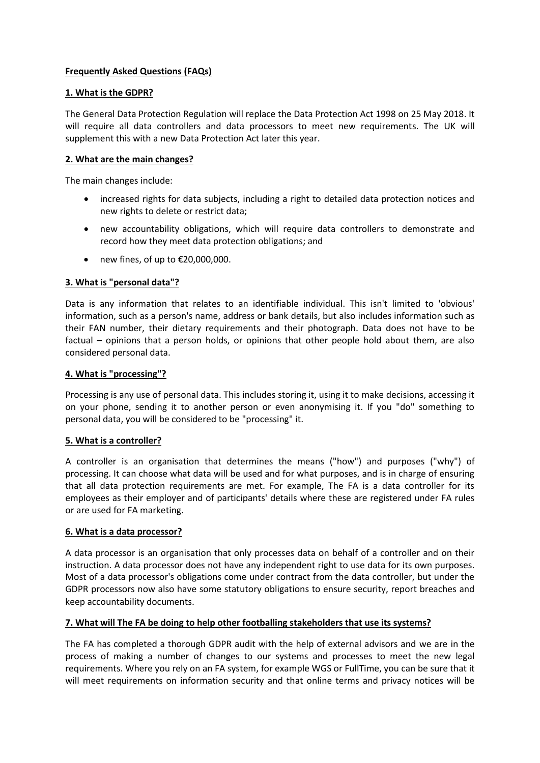# **Frequently Asked Questions (FAQs)**

#### **1. What is the GDPR?**

The General Data Protection Regulation will replace the Data Protection Act 1998 on 25 May 2018. It will require all data controllers and data processors to meet new requirements. The UK will supplement this with a new Data Protection Act later this year.

### **2. What are the main changes?**

The main changes include:

- increased rights for data subjects, including a right to detailed data protection notices and new rights to delete or restrict data;
- new accountability obligations, which will require data controllers to demonstrate and record how they meet data protection obligations; and
- new fines, of up to €20,000,000.

## **3. What is "personal data"?**

Data is any information that relates to an identifiable individual. This isn't limited to 'obvious' information, such as a person's name, address or bank details, but also includes information such as their FAN number, their dietary requirements and their photograph. Data does not have to be factual – opinions that a person holds, or opinions that other people hold about them, are also considered personal data.

#### **4. What is "processing"?**

Processing is any use of personal data. This includes storing it, using it to make decisions, accessing it on your phone, sending it to another person or even anonymising it. If you "do" something to personal data, you will be considered to be "processing" it.

#### **5. What is a controller?**

A controller is an organisation that determines the means ("how") and purposes ("why") of processing. It can choose what data will be used and for what purposes, and is in charge of ensuring that all data protection requirements are met. For example, The FA is a data controller for its employees as their employer and of participants' details where these are registered under FA rules or are used for FA marketing.

#### **6. What is a data processor?**

A data processor is an organisation that only processes data on behalf of a controller and on their instruction. A data processor does not have any independent right to use data for its own purposes. Most of a data processor's obligations come under contract from the data controller, but under the GDPR processors now also have some statutory obligations to ensure security, report breaches and keep accountability documents.

#### **7. What will The FA be doing to help other footballing stakeholders that use its systems?**

The FA has completed a thorough GDPR audit with the help of external advisors and we are in the process of making a number of changes to our systems and processes to meet the new legal requirements. Where you rely on an FA system, for example WGS or FullTime, you can be sure that it will meet requirements on information security and that online terms and privacy notices will be